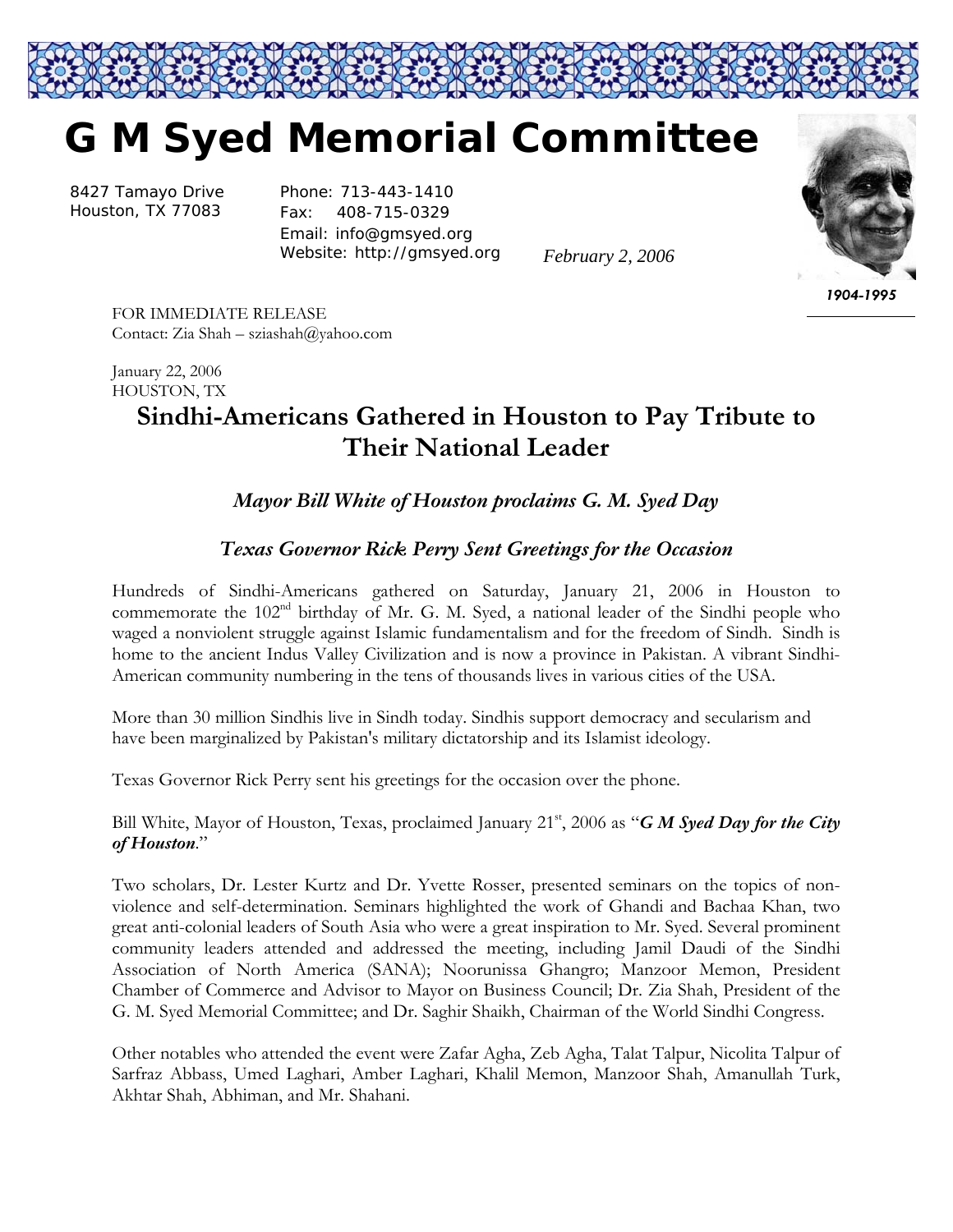

8427 Tamayo Drive Houston, TX 77083

Phone: 713-443-1410 Fax: 408-715-0329 Email: info@gmsyed.org Website: http://gmsyed.org

*February 2, 2006* 



*1904-1995* 

FOR IMMEDIATE RELEASE Contact: Zia Shah – sziashah@yahoo.com

January 22, 2006 HOUSTON, TX

## **Sindhi-Americans Gathered in Houston to Pay Tribute to Their National Leader**

## *Mayor Bill White of Houston proclaims G. M. Syed Day*

## *Texas Governor Rick Perry Sent Greetings for the Occasion*

Hundreds of Sindhi-Americans gathered on Saturday, January 21, 2006 in Houston to commemorate the 102<sup>nd</sup> birthday of Mr. G. M. Syed, a national leader of the Sindhi people who waged a nonviolent struggle against Islamic fundamentalism and for the freedom of Sindh. Sindh is home to the ancient Indus Valley Civilization and is now a province in Pakistan. A vibrant Sindhi-American community numbering in the tens of thousands lives in various cities of the USA.

More than 30 million Sindhis live in Sindh today. Sindhis support democracy and secularism and have been marginalized by Pakistan's military dictatorship and its Islamist ideology.

Texas Governor Rick Perry sent his greetings for the occasion over the phone.

Bill White, Mayor of Houston, Texas, proclaimed January 21<sup>st</sup>, 2006 as "*G M Syed Day for the City of Houston*."

Two scholars, Dr. Lester Kurtz and Dr. Yvette Rosser, presented seminars on the topics of nonviolence and self-determination. Seminars highlighted the work of Ghandi and Bachaa Khan, two great anti-colonial leaders of South Asia who were a great inspiration to Mr. Syed. Several prominent community leaders attended and addressed the meeting, including Jamil Daudi of the Sindhi Association of North America (SANA); Noorunissa Ghangro; Manzoor Memon, President Chamber of Commerce and Advisor to Mayor on Business Council; Dr. Zia Shah, President of the G. M. Syed Memorial Committee; and Dr. Saghir Shaikh, Chairman of the World Sindhi Congress.

Other notables who attended the event were Zafar Agha, Zeb Agha, Talat Talpur, Nicolita Talpur of Sarfraz Abbass, Umed Laghari, Amber Laghari, Khalil Memon, Manzoor Shah, Amanullah Turk, Akhtar Shah, Abhiman, and Mr. Shahani.